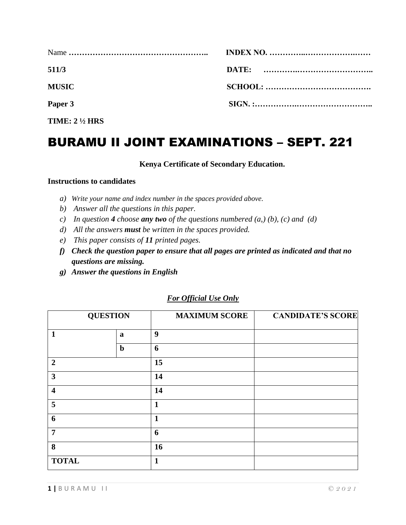| 511/3                    |  |
|--------------------------|--|
| <b>MUSIC</b>             |  |
| Paper 3                  |  |
| TIME: $2\frac{1}{2}$ HRS |  |

# BURAMU II JOINT EXAMINATIONS – SEPT. 221

#### **Kenya Certificate of Secondary Education.**

#### **Instructions to candidates**

- *a) Write your name and index number in the spaces provided above.*
- *b) Answer all the questions in this paper.*
- *c*) In question **4** *choose any two of the questions numbered (a,) (b), (c) and (d)*
- *d) All the answers must be written in the spaces provided.*
- *e) This paper consists of 11 printed pages.*
- *f) Check the question paper to ensure that all pages are printed as indicated and that no questions are missing.*
- *g) Answer the questions in English*

| <b>QUESTION</b>         |             | <b>MAXIMUM SCORE</b> | <b>CANDIDATE'S SCORE</b> |
|-------------------------|-------------|----------------------|--------------------------|
| $\mathbf{1}$            | a           | 9                    |                          |
|                         | $\mathbf b$ | 6                    |                          |
| $\overline{2}$          |             | 15                   |                          |
| $\overline{\mathbf{3}}$ |             | 14                   |                          |
| $\overline{\mathbf{4}}$ |             | 14                   |                          |
| 5                       |             | $\mathbf{1}$         |                          |
| 6                       |             | 1                    |                          |
| $\overline{7}$          |             | 6                    |                          |
| 8                       |             | 16                   |                          |
| <b>TOTAL</b>            |             | $\mathbf{1}$         |                          |

#### *For Official Use Only*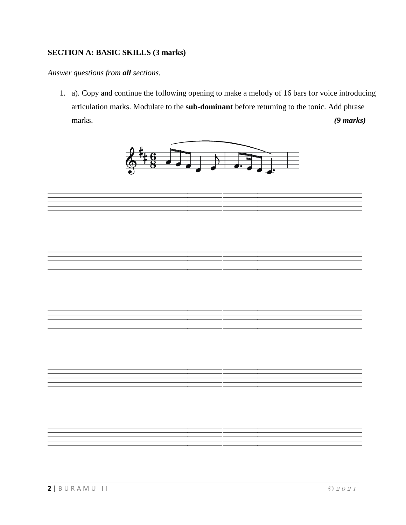## **SECTION A: BASIC SKILLS (3 marks)**

*Answer questions from all sections.* 

1. a). Copy and continue the following opening to make a melody of 16 bars for voice introducing articulation marks. Modulate to the **sub-dominant** before returning to the tonic. Add phrase marks. *(9 marks)*



==================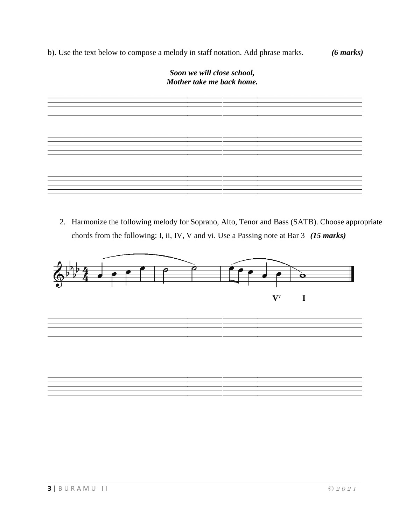b). Use the text below to compose a melody in staff notation. Add phrase marks. *(6 marks)*



2. Harmonize the following melody for Soprano, Alto, Tenor and Bass (SATB). Choose appropriate chords from the following: I, ii, IV, V and vi. Use a Passing note at Bar 3 *(15 marks)*



==================

==================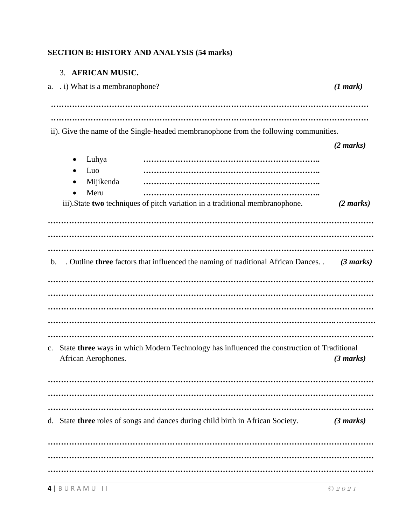# **SECTION B: HISTORY AND ANALYSIS (54 marks)**

#### 3. **AFRICAN MUSIC.**

|                | a. . i) What is a membranophone?                                                                                                | (1 mark)                                   |
|----------------|---------------------------------------------------------------------------------------------------------------------------------|--------------------------------------------|
|                |                                                                                                                                 |                                            |
|                | ii). Give the name of the Single-headed membranophone from the following communities.                                           |                                            |
|                | Luhya<br>Luo<br>Mijikenda<br>Meru<br>$\bullet$<br>iii). State two techniques of pitch variation in a traditional membranophone. | $(2 \text{ marks})$<br>$(2 \text{ marks})$ |
|                |                                                                                                                                 |                                            |
| $\mathbf{b}$ . | . Outline three factors that influenced the naming of traditional African Dances. .                                             | $(3 \text{ marks})$                        |
|                |                                                                                                                                 |                                            |
|                |                                                                                                                                 |                                            |
| c.             | State three ways in which Modern Technology has influenced the construction of Traditional<br>African Aerophones.               | $(3 \text{ marks})$                        |
|                |                                                                                                                                 |                                            |
|                | d. State three roles of songs and dances during child birth in African Society.                                                 | (3 marks)                                  |
|                |                                                                                                                                 |                                            |
|                |                                                                                                                                 |                                            |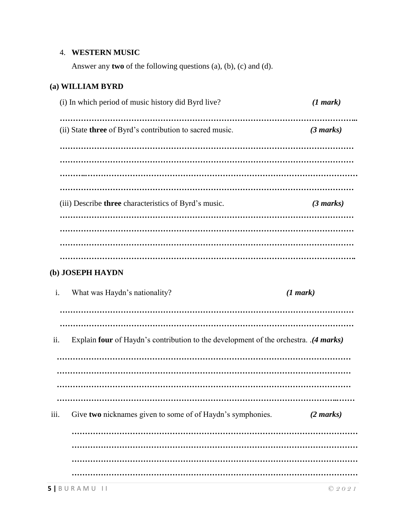#### 4. **WESTERN MUSIC**

Answer any **two** of the following questions (a), (b), (c) and (d).

## **(a) WILLIAM BYRD**

| (i) In which period of music history did Byrd live?             | (1 mark)            |
|-----------------------------------------------------------------|---------------------|
| (ii) State <b>three</b> of Byrd's contribution to sacred music. | $(3 \text{ marks})$ |
|                                                                 |                     |
|                                                                 |                     |
|                                                                 |                     |
| (iii) Describe <b>three</b> characteristics of Byrd's music.    | $(3 \text{ marks})$ |
|                                                                 |                     |
|                                                                 |                     |
|                                                                 |                     |

#### **(b) JOSEPH HAYDN**

| i.   | What was Haydn's nationality?                                                                                    | (1 mark)            |  |
|------|------------------------------------------------------------------------------------------------------------------|---------------------|--|
|      |                                                                                                                  |                     |  |
| ii.  | ( <i>4 marks</i> ). Explain four of Haydn's contribution to the development of the orchestra. ( <i>4 marks</i> ) |                     |  |
|      |                                                                                                                  |                     |  |
|      |                                                                                                                  |                     |  |
| 111. | Give two nicknames given to some of of Haydn's symphonies.                                                       | $(2 \text{ marks})$ |  |
|      |                                                                                                                  |                     |  |
|      |                                                                                                                  |                     |  |
|      |                                                                                                                  |                     |  |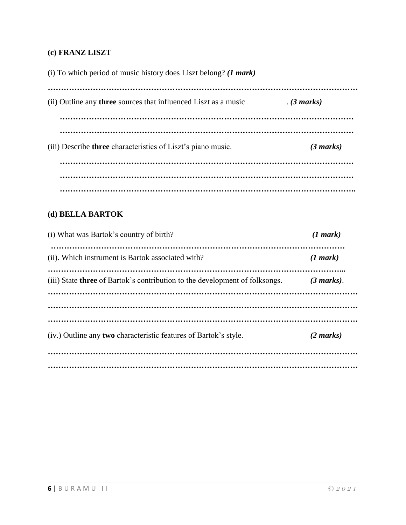## **(c) FRANZ LISZT**

(i) To which period of music history does Liszt belong? *(1 mark)* 

| (ii) Outline any <b>three</b> sources that influenced Liszt as a music | (3 marks)           |
|------------------------------------------------------------------------|---------------------|
| (iii) Describe three characteristics of Liszt's piano music.           | $(3 \text{ marks})$ |
|                                                                        |                     |

## **(d) BELLA BARTOK**

| (i) What was Bartok's country of birth?                                            | (1 mark)            |
|------------------------------------------------------------------------------------|---------------------|
| (ii). Which instrument is Bartok associated with?                                  | (1 mark)            |
| (iii) State <b>three</b> of Bartok's contribution to the development of folksongs. | (3 marks).          |
|                                                                                    |                     |
|                                                                                    |                     |
| (iv.) Outline any <b>two</b> characteristic features of Bartok's style.            | $(2 \text{ marks})$ |
|                                                                                    |                     |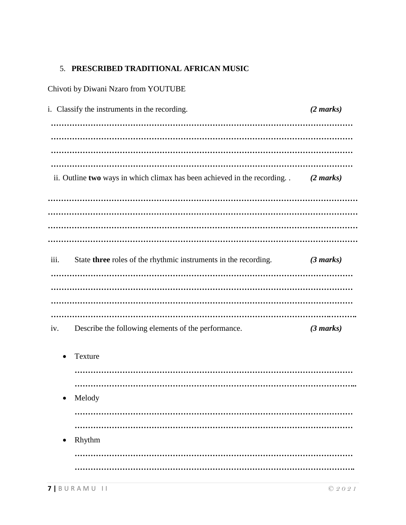## 5. **PRESCRIBED TRADITIONAL AFRICAN MUSIC**

Chivoti by Diwani Nzaro from YOUTUBE

|      | i. Classify the instruments in the recording.                              | $(2 \text{ marks})$ |
|------|----------------------------------------------------------------------------|---------------------|
|      |                                                                            |                     |
|      |                                                                            |                     |
|      |                                                                            |                     |
|      | ii. Outline two ways in which climax has been achieved in the recording. . | $(2 \text{ marks})$ |
|      |                                                                            |                     |
|      |                                                                            |                     |
|      |                                                                            |                     |
| iii. | State three roles of the rhythmic instruments in the recording.            | $(3 \text{ marks})$ |
|      |                                                                            |                     |
|      |                                                                            |                     |
|      |                                                                            |                     |
| iv.  | Describe the following elements of the performance.                        | $(3 \text{ marks})$ |
|      | Texture                                                                    |                     |
|      |                                                                            |                     |
|      |                                                                            |                     |
|      | Melody                                                                     |                     |
|      |                                                                            |                     |
|      | Rhythm                                                                     |                     |
|      |                                                                            |                     |
|      |                                                                            |                     |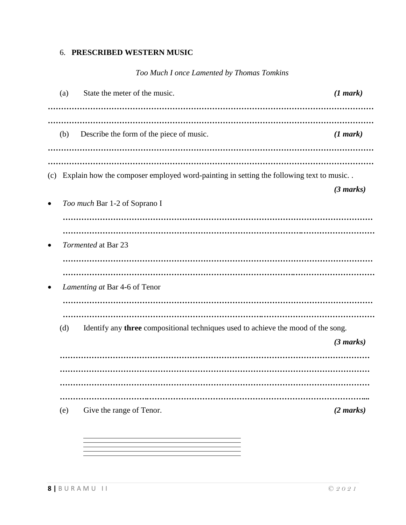## 6. **PRESCRIBED WESTERN MUSIC**

## *Too Much I once Lamented by Thomas Tomkins*

|     | (a) | State the meter of the music.                                                          | (1 mark)            |
|-----|-----|----------------------------------------------------------------------------------------|---------------------|
|     | (b) | Describe the form of the piece of music.                                               | (1 mark)            |
|     |     |                                                                                        |                     |
| (c) |     | Explain how the composer employed word-painting in setting the following text to music | $(3 \text{ marks})$ |
|     |     | Too much Bar 1-2 of Soprano I                                                          |                     |
|     |     | Tormented at Bar 23                                                                    |                     |
|     |     | Lamenting at Bar 4-6 of Tenor                                                          |                     |
|     | (d) | Identify any three compositional techniques used to achieve the mood of the song.      | (3 marks)           |
|     |     |                                                                                        |                     |
|     | (e) | Give the range of Tenor.                                                               | $(2 \text{ marks})$ |

 $=$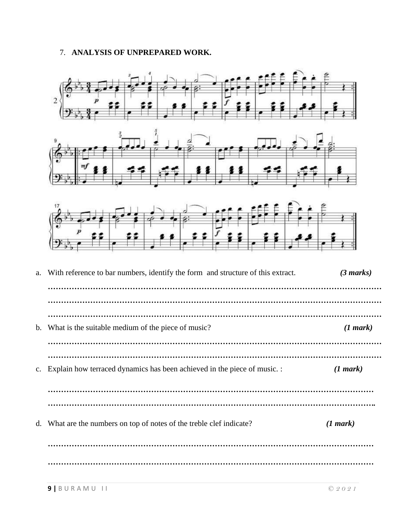#### 7. **ANALYSIS OF UNPREPARED WORK.**

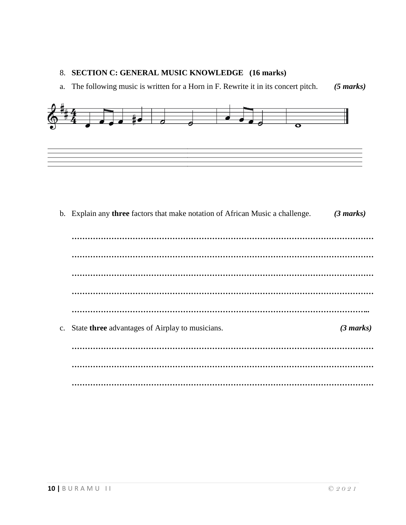#### 8. **SECTION C: GENERAL MUSIC KNOWLEDGE (16 marks)**

a. The following music is written for a Horn in F. Rewrite it in its concert pitch. *(5 marks)*



b. Explain any **three** factors that make notation of African Music a challenge. *(3 marks) …………………………………………………………………………………………………… …………………………………………………………………………………………………… …………………………………………………………………………………………………… …………………………………………………………………………………………………… …………………………………………………………………………………………………..* c. State **three** advantages of Airplay to musicians. *(3 marks) …………………………………………………………………………………………………… …………………………………………………………………………………………………… ……………………………………………………………………………………………………*